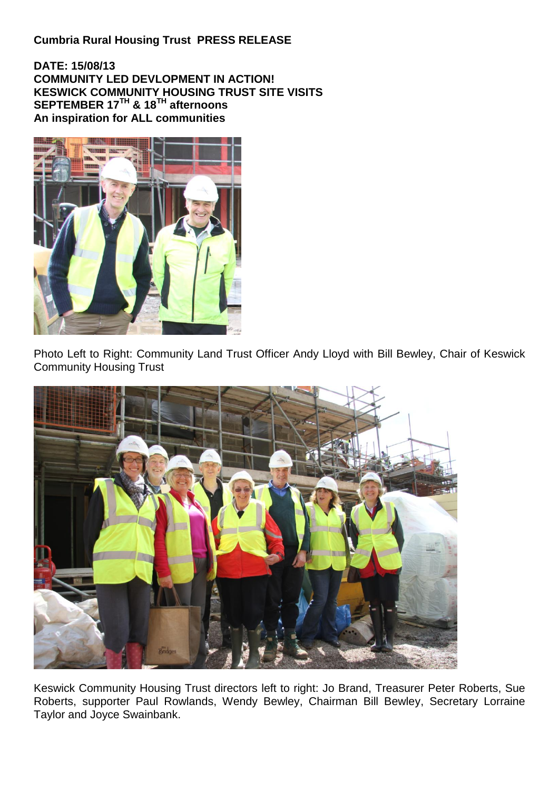## **Cumbria Rural Housing Trust PRESS RELEASE**

**DATE: 15/08/13 COMMUNITY LED DEVLOPMENT IN ACTION! KESWICK COMMUNITY HOUSING TRUST SITE VISITS SEPTEMBER 17TH & 18TH afternoons An inspiration for ALL communities**



Photo Left to Right: Community Land Trust Officer Andy Lloyd with Bill Bewley, Chair of Keswick Community Housing Trust



Keswick Community Housing Trust directors left to right: Jo Brand, Treasurer Peter Roberts, Sue Roberts, supporter Paul Rowlands, Wendy Bewley, Chairman Bill Bewley, Secretary Lorraine Taylor and Joyce Swainbank.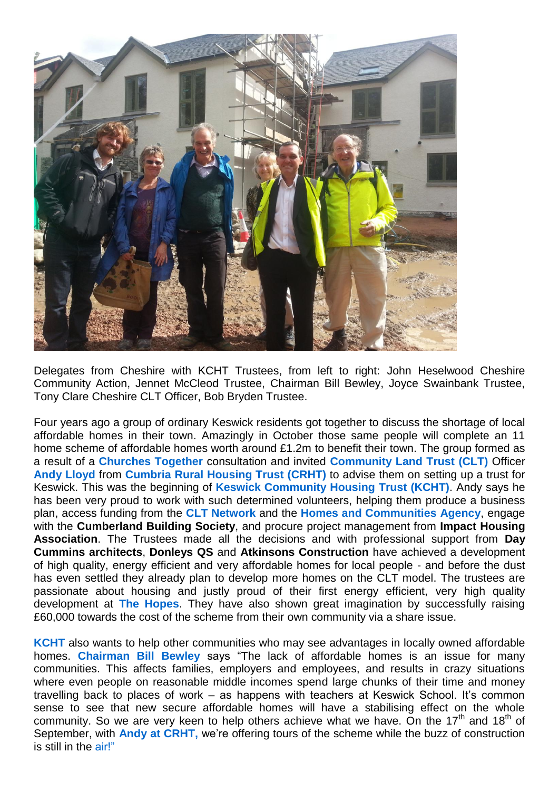

Delegates from Cheshire with KCHT Trustees, from left to right: John Heselwood Cheshire Community Action, Jennet McCleod Trustee, Chairman Bill Bewley, Joyce Swainbank Trustee, Tony Clare Cheshire CLT Officer, Bob Bryden Trustee.

Four years ago a group of ordinary Keswick residents got together to discuss the shortage of local affordable homes in their town. Amazingly in October those same people will complete an 11 home scheme of affordable homes worth around £1.2m to benefit their town. The group formed as a result of a **Churches Together** consultation and invited **Community Land Trust (CLT)** Officer **Andy Lloyd** from **Cumbria Rural Housing Trust (CRHT)** to advise them on setting up a trust for Keswick. This was the beginning of **Keswick Community Housing Trust (KCHT)**. Andy says he has been very proud to work with such determined volunteers, helping them produce a business plan, access funding from the **CLT Network** and the **Homes and Communities Agency**, engage with the **Cumberland Building Society**, and procure project management from **Impact Housing Association**. The Trustees made all the decisions and with professional support from **Day Cummins architects**, **Donleys QS** and **Atkinsons Construction** have achieved a development of high quality, energy efficient and very affordable homes for local people - and before the dust has even settled they already plan to develop more homes on the CLT model. The trustees are passionate about housing and justly proud of their first energy efficient, very high quality development at **The Hopes**. They have also shown great imagination by successfully raising £60,000 towards the cost of the scheme from their own community via a share issue.

**KCHT** also wants to help other communities who may see advantages in locally owned affordable homes. **Chairman Bill Bewley** says "The lack of affordable homes is an issue for many communities. This affects families, employers and employees, and results in crazy situations where even people on reasonable middle incomes spend large chunks of their time and money travelling back to places of work – as happens with teachers at Keswick School. It's common sense to see that new secure affordable homes will have a stabilising effect on the whole community. So we are very keen to help others achieve what we have. On the  $17<sup>th</sup>$  and  $18<sup>th</sup>$  of September, with **Andy at CRHT,** we're offering tours of the scheme while the buzz of construction is still in the air!"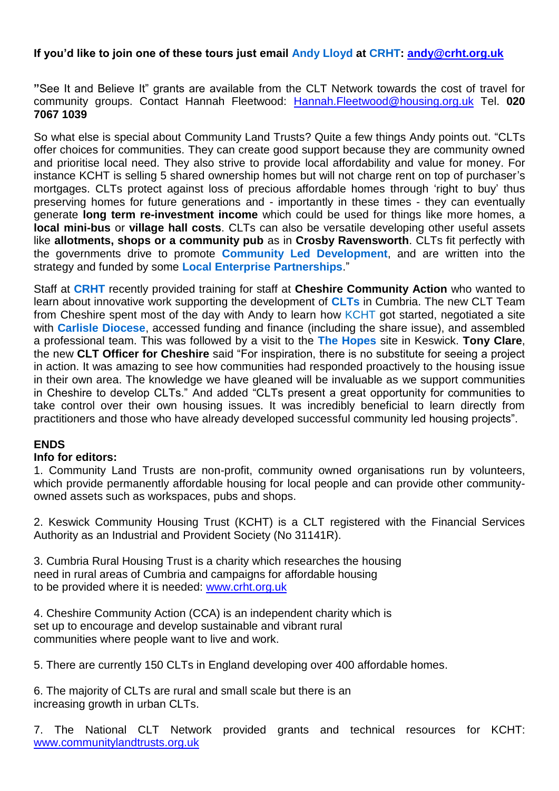## **If you'd like to join one of these tours just email Andy Lloyd at CRHT: [andy@crht.org.uk](mailto:andy@crht.org.uk)**

**"**See It and Believe It" grants are available from the CLT Network towards the cost of travel for community groups. Contact Hannah Fleetwood: [Hannah.Fleetwood@housing.org.uk](mailto:Hannah.Fleetwood@housing.org.uk) Tel. **020 7067 1039**

So what else is special about Community Land Trusts? Quite a few things Andy points out. "CLTs offer choices for communities. They can create good support because they are community owned and prioritise local need. They also strive to provide local affordability and value for money. For instance KCHT is selling 5 shared ownership homes but will not charge rent on top of purchaser's mortgages. CLTs protect against loss of precious affordable homes through 'right to buy' thus preserving homes for future generations and - importantly in these times - they can eventually generate **long term re-investment income** which could be used for things like more homes, a **local mini-bus** or **village hall costs**. CLTs can also be versatile developing other useful assets like **allotments, shops or a community pub** as in **Crosby Ravensworth**. CLTs fit perfectly with the governments drive to promote **Community Led Development**, and are written into the strategy and funded by some **Local Enterprise Partnerships**."

Staff at **CRHT** recently provided training for staff at **Cheshire Community Action** who wanted to learn about innovative work supporting the development of **CLTs** in Cumbria. The new CLT Team from Cheshire spent most of the day with Andy to learn how KCHT got started, negotiated a site with **Carlisle Diocese**, accessed funding and finance (including the share issue), and assembled a professional team. This was followed by a visit to the **The Hopes** site in Keswick. **Tony Clare**, the new **CLT Officer for Cheshire** said "For inspiration, there is no substitute for seeing a project in action. It was amazing to see how communities had responded proactively to the housing issue in their own area. The knowledge we have gleaned will be invaluable as we support communities in Cheshire to develop CLTs." And added "CLTs present a great opportunity for communities to take control over their own housing issues. It was incredibly beneficial to learn directly from practitioners and those who have already developed successful community led housing projects".

## **ENDS**

## **Info for editors:**

1. Community Land Trusts are non-profit, community owned organisations run by volunteers, which provide permanently affordable housing for local people and can provide other communityowned assets such as workspaces, pubs and shops.

2. Keswick Community Housing Trust (KCHT) is a CLT registered with the Financial Services Authority as an Industrial and Provident Society (No 31141R).

3. Cumbria Rural Housing Trust is a charity which researches the housing need in rural areas of Cumbria and campaigns for affordable housing to be provided where it is needed: [www.crht.org.uk](http://www.crht.org.uk/)

4. Cheshire Community Action (CCA) is an independent charity which is set up to encourage and develop sustainable and vibrant rural communities where people want to live and work.

5. There are currently 150 CLTs in England developing over 400 affordable homes.

6. The majority of CLTs are rural and small scale but there is an increasing growth in urban CLTs.

7. The National CLT Network provided grants and technical resources for KCHT: [www.communitylandtrusts.org.uk](http://www.communitylandtrusts.org.uk/)